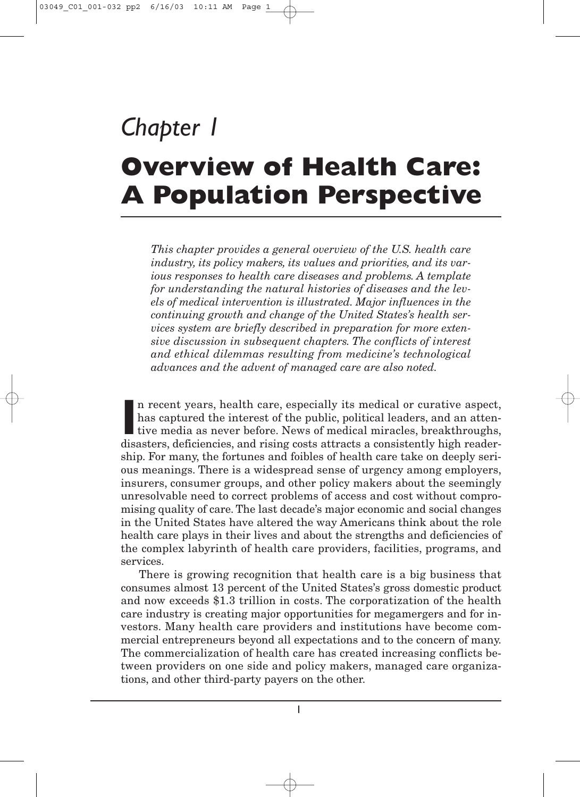# *Chapter 1* **Overview of Health Care: A Population Perspective**

*This chapter provides a general overview of the U.S. health care industry, its policy makers, its values and priorities, and its various responses to health care diseases and problems. A template for understanding the natural histories of diseases and the levels of medical intervention is illustrated. Major influences in the continuing growth and change of the United States's health services system are briefly described in preparation for more extensive discussion in subsequent chapters. The conflicts of interest and ethical dilemmas resulting from medicine's technological advances and the advent of managed care are also noted.*

II n recent years, health care, especially its medical or curative aspect, has captured the interest of the public, political leaders, and an attentive media as never before. News of medical miracles, breakthroughs, disast n recent years, health care, especially its medical or curative aspect, has captured the interest of the public, political leaders, and an attentive media as never before. News of medical miracles, breakthroughs, ship. For many, the fortunes and foibles of health care take on deeply serious meanings. There is a widespread sense of urgency among employers, insurers, consumer groups, and other policy makers about the seemingly unresolvable need to correct problems of access and cost without compromising quality of care. The last decade's major economic and social changes in the United States have altered the way Americans think about the role health care plays in their lives and about the strengths and deficiencies of the complex labyrinth of health care providers, facilities, programs, and services.

There is growing recognition that health care is a big business that consumes almost 13 percent of the United States's gross domestic product and now exceeds \$1.3 trillion in costs. The corporatization of the health care industry is creating major opportunities for megamergers and for investors. Many health care providers and institutions have become commercial entrepreneurs beyond all expectations and to the concern of many. The commercialization of health care has created increasing conflicts between providers on one side and policy makers, managed care organizations, and other third-party payers on the other.

1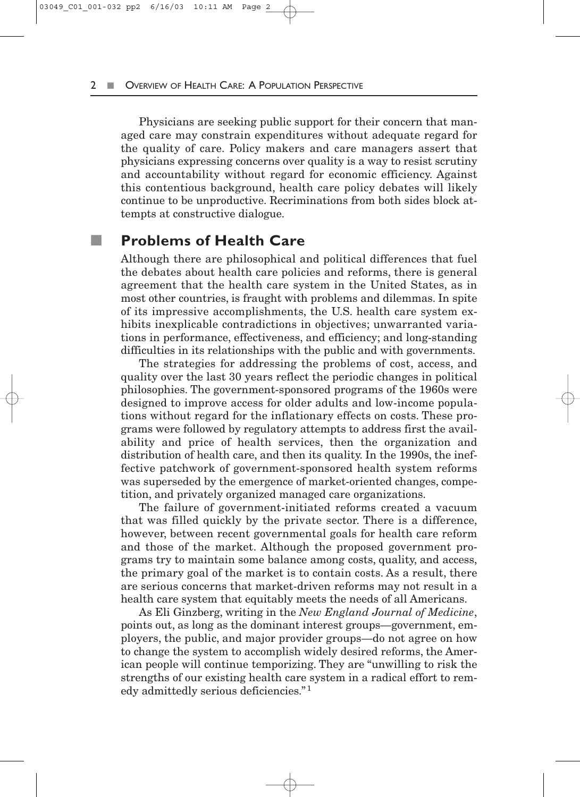#### 2 ■ OVERVIEW OF HEALTH CARE: A POPULATION PERSPECTIVE

Physicians are seeking public support for their concern that managed care may constrain expenditures without adequate regard for the quality of care. Policy makers and care managers assert that physicians expressing concerns over quality is a way to resist scrutiny and accountability without regard for economic efficiency. Against this contentious background, health care policy debates will likely continue to be unproductive. Recriminations from both sides block attempts at constructive dialogue.

# **Problems of Health Care**

Although there are philosophical and political differences that fuel the debates about health care policies and reforms, there is general agreement that the health care system in the United States, as in most other countries, is fraught with problems and dilemmas. In spite of its impressive accomplishments, the U.S. health care system exhibits inexplicable contradictions in objectives; unwarranted variations in performance, effectiveness, and efficiency; and long-standing difficulties in its relationships with the public and with governments.

The strategies for addressing the problems of cost, access, and quality over the last 30 years reflect the periodic changes in political philosophies. The government-sponsored programs of the 1960s were designed to improve access for older adults and low-income populations without regard for the inflationary effects on costs. These programs were followed by regulatory attempts to address first the availability and price of health services, then the organization and distribution of health care, and then its quality. In the 1990s, the ineffective patchwork of government-sponsored health system reforms was superseded by the emergence of market-oriented changes, competition, and privately organized managed care organizations.

The failure of government-initiated reforms created a vacuum that was filled quickly by the private sector. There is a difference, however, between recent governmental goals for health care reform and those of the market. Although the proposed government programs try to maintain some balance among costs, quality, and access, the primary goal of the market is to contain costs. As a result, there are serious concerns that market-driven reforms may not result in a health care system that equitably meets the needs of all Americans.

As Eli Ginzberg, writing in the *New England Journal of Medicine*, points out, as long as the dominant interest groups—government, employers, the public, and major provider groups—do not agree on how to change the system to accomplish widely desired reforms, the American people will continue temporizing. They are "unwilling to risk the strengths of our existing health care system in a radical effort to remedy admittedly serious deficiencies." <sup>1</sup>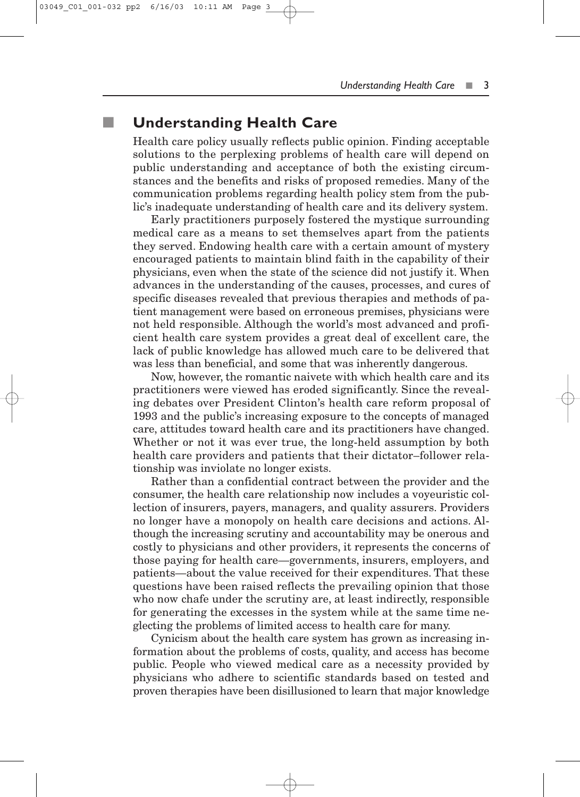# **Understanding Health Care**

Health care policy usually reflects public opinion. Finding acceptable solutions to the perplexing problems of health care will depend on public understanding and acceptance of both the existing circumstances and the benefits and risks of proposed remedies. Many of the communication problems regarding health policy stem from the public's inadequate understanding of health care and its delivery system.

Early practitioners purposely fostered the mystique surrounding medical care as a means to set themselves apart from the patients they served. Endowing health care with a certain amount of mystery encouraged patients to maintain blind faith in the capability of their physicians, even when the state of the science did not justify it. When advances in the understanding of the causes, processes, and cures of specific diseases revealed that previous therapies and methods of patient management were based on erroneous premises, physicians were not held responsible. Although the world's most advanced and proficient health care system provides a great deal of excellent care, the lack of public knowledge has allowed much care to be delivered that was less than beneficial, and some that was inherently dangerous.

Now, however, the romantic naivete with which health care and its practitioners were viewed has eroded significantly. Since the revealing debates over President Clinton's health care reform proposal of 1993 and the public's increasing exposure to the concepts of managed care, attitudes toward health care and its practitioners have changed. Whether or not it was ever true, the long-held assumption by both health care providers and patients that their dictator–follower relationship was inviolate no longer exists.

Rather than a confidential contract between the provider and the consumer, the health care relationship now includes a voyeuristic collection of insurers, payers, managers, and quality assurers. Providers no longer have a monopoly on health care decisions and actions. Although the increasing scrutiny and accountability may be onerous and costly to physicians and other providers, it represents the concerns of those paying for health care—governments, insurers, employers, and patients—about the value received for their expenditures. That these questions have been raised reflects the prevailing opinion that those who now chafe under the scrutiny are, at least indirectly, responsible for generating the excesses in the system while at the same time neglecting the problems of limited access to health care for many.

Cynicism about the health care system has grown as increasing information about the problems of costs, quality, and access has become public. People who viewed medical care as a necessity provided by physicians who adhere to scientific standards based on tested and proven therapies have been disillusioned to learn that major knowledge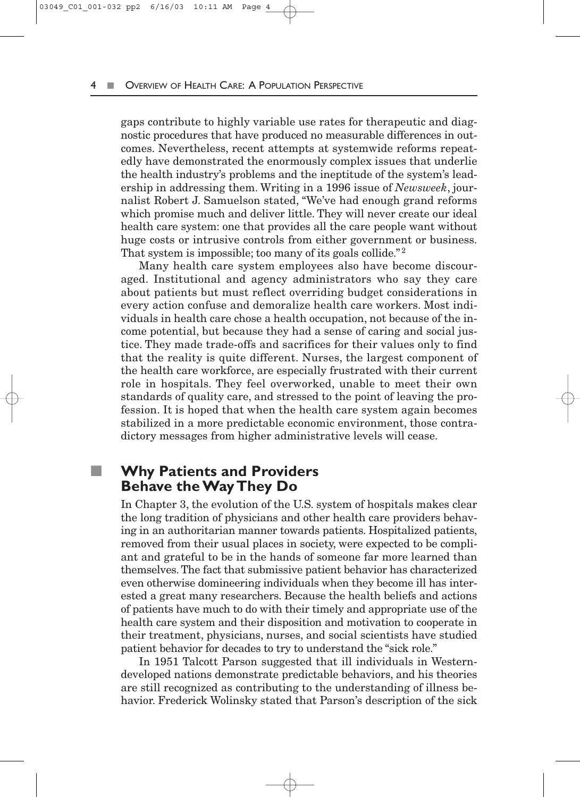#### OVERVIEW OF HEALTH CARE: A POPULATION PERSPECTIVE

gaps contribute to highly variable use rates for therapeutic and diagnostic procedures that have produced no measurable differences in outcomes. Nevertheless, recent attempts at systemwide reforms repeatedly have demonstrated the enormously complex issues that underlie the health industry's problems and the ineptitude of the system's leadership in addressing them. Writing in a 1996 issue of *Newsweek*, journalist Robert J. Samuelson stated, "We've had enough grand reforms which promise much and deliver little. They will never create our ideal health care system: one that provides all the care people want without huge costs or intrusive controls from either government or business. That system is impossible; too many of its goals collide."<sup>2</sup>

Many health care system employees also have become discouraged. Institutional and agency administrators who say they care about patients but must reflect overriding budget considerations in every action confuse and demoralize health care workers. Most individuals in health care chose a health occupation, not because of the income potential, but because they had a sense of caring and social justice. They made trade-offs and sacrifices for their values only to find that the reality is quite different. Nurses, the largest component of the health care workforce, are especially frustrated with their current role in hospitals. They feel overworked, unable to meet their own standards of quality care, and stressed to the point of leaving the profession. It is hoped that when the health care system again becomes stabilized in a more predictable economic environment, those contradictory messages from higher administrative levels will cease.

# **Why Patients and Providers Behave the Way They Do**

In Chapter 3, the evolution of the U.S. system of hospitals makes clear the long tradition of physicians and other health care providers behaving in an authoritarian manner towards patients. Hospitalized patients, removed from their usual places in society, were expected to be compliant and grateful to be in the hands of someone far more learned than themselves. The fact that submissive patient behavior has characterized even otherwise domineering individuals when they become ill has interested a great many researchers. Because the health beliefs and actions of patients have much to do with their timely and appropriate use of the health care system and their disposition and motivation to cooperate in their treatment, physicians, nurses, and social scientists have studied patient behavior for decades to try to understand the "sick role."

In 1951 Talcott Parson suggested that ill individuals in Westerndeveloped nations demonstrate predictable behaviors, and his theories are still recognized as contributing to the understanding of illness behavior. Frederick Wolinsky stated that Parson's description of the sick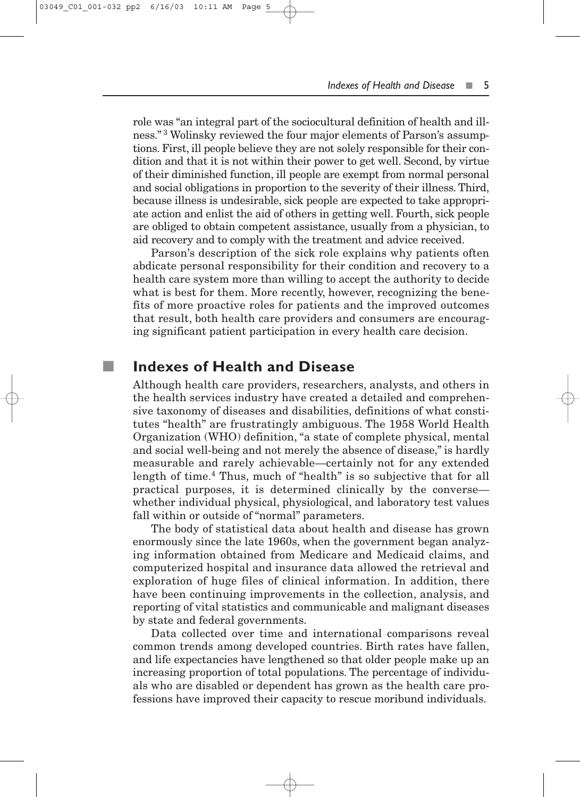role was "an integral part of the sociocultural definition of health and illness." <sup>3</sup> Wolinsky reviewed the four major elements of Parson's assumptions. First, ill people believe they are not solely responsible for their condition and that it is not within their power to get well. Second, by virtue of their diminished function, ill people are exempt from normal personal and social obligations in proportion to the severity of their illness. Third, because illness is undesirable, sick people are expected to take appropriate action and enlist the aid of others in getting well. Fourth, sick people are obliged to obtain competent assistance, usually from a physician, to aid recovery and to comply with the treatment and advice received.

Parson's description of the sick role explains why patients often abdicate personal responsibility for their condition and recovery to a health care system more than willing to accept the authority to decide what is best for them. More recently, however, recognizing the benefits of more proactive roles for patients and the improved outcomes that result, both health care providers and consumers are encouraging significant patient participation in every health care decision.

# **Indexes of Health and Disease**

Although health care providers, researchers, analysts, and others in the health services industry have created a detailed and comprehensive taxonomy of diseases and disabilities, definitions of what constitutes "health" are frustratingly ambiguous. The 1958 World Health Organization (WHO) definition, "a state of complete physical, mental and social well-being and not merely the absence of disease," is hardly measurable and rarely achievable—certainly not for any extended length of time.<sup>4</sup> Thus, much of "health" is so subjective that for all practical purposes, it is determined clinically by the converse whether individual physical, physiological, and laboratory test values fall within or outside of "normal" parameters.

The body of statistical data about health and disease has grown enormously since the late 1960s, when the government began analyzing information obtained from Medicare and Medicaid claims, and computerized hospital and insurance data allowed the retrieval and exploration of huge files of clinical information. In addition, there have been continuing improvements in the collection, analysis, and reporting of vital statistics and communicable and malignant diseases by state and federal governments.

Data collected over time and international comparisons reveal common trends among developed countries. Birth rates have fallen, and life expectancies have lengthened so that older people make up an increasing proportion of total populations. The percentage of individuals who are disabled or dependent has grown as the health care professions have improved their capacity to rescue moribund individuals.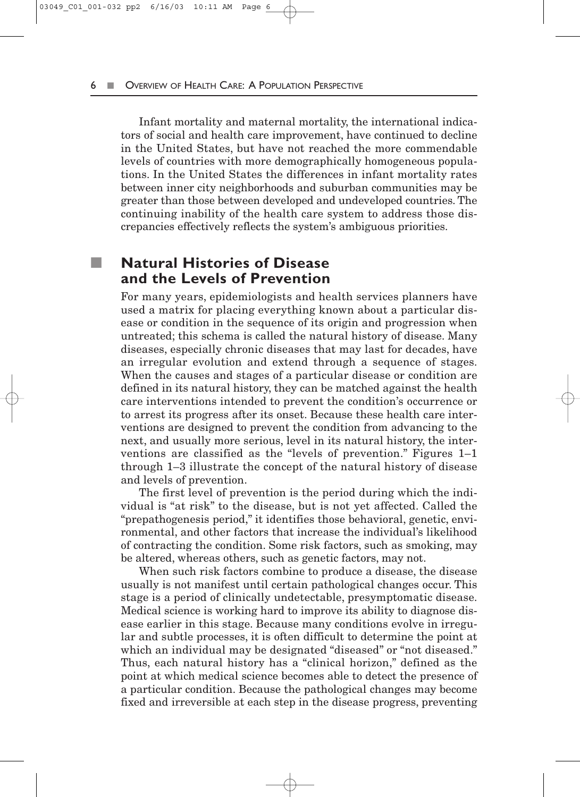#### OVERVIEW OF HEALTH CARE: A POPULATION PERSPECTIVE

Infant mortality and maternal mortality, the international indicators of social and health care improvement, have continued to decline in the United States, but have not reached the more commendable levels of countries with more demographically homogeneous populations. In the United States the differences in infant mortality rates between inner city neighborhoods and suburban communities may be greater than those between developed and undeveloped countries. The continuing inability of the health care system to address those discrepancies effectively reflects the system's ambiguous priorities.

# ■ **Natural Histories of Disease and the Levels of Prevention**

For many years, epidemiologists and health services planners have used a matrix for placing everything known about a particular disease or condition in the sequence of its origin and progression when untreated; this schema is called the natural history of disease. Many diseases, especially chronic diseases that may last for decades, have an irregular evolution and extend through a sequence of stages. When the causes and stages of a particular disease or condition are defined in its natural history, they can be matched against the health care interventions intended to prevent the condition's occurrence or to arrest its progress after its onset. Because these health care interventions are designed to prevent the condition from advancing to the next, and usually more serious, level in its natural history, the interventions are classified as the "levels of prevention." Figures 1–1 through 1–3 illustrate the concept of the natural history of disease and levels of prevention.

The first level of prevention is the period during which the individual is "at risk" to the disease, but is not yet affected. Called the "prepathogenesis period," it identifies those behavioral, genetic, environmental, and other factors that increase the individual's likelihood of contracting the condition. Some risk factors, such as smoking, may be altered, whereas others, such as genetic factors, may not.

When such risk factors combine to produce a disease, the disease usually is not manifest until certain pathological changes occur. This stage is a period of clinically undetectable, presymptomatic disease. Medical science is working hard to improve its ability to diagnose disease earlier in this stage. Because many conditions evolve in irregular and subtle processes, it is often difficult to determine the point at which an individual may be designated "diseased" or "not diseased." Thus, each natural history has a "clinical horizon," defined as the point at which medical science becomes able to detect the presence of a particular condition. Because the pathological changes may become fixed and irreversible at each step in the disease progress, preventing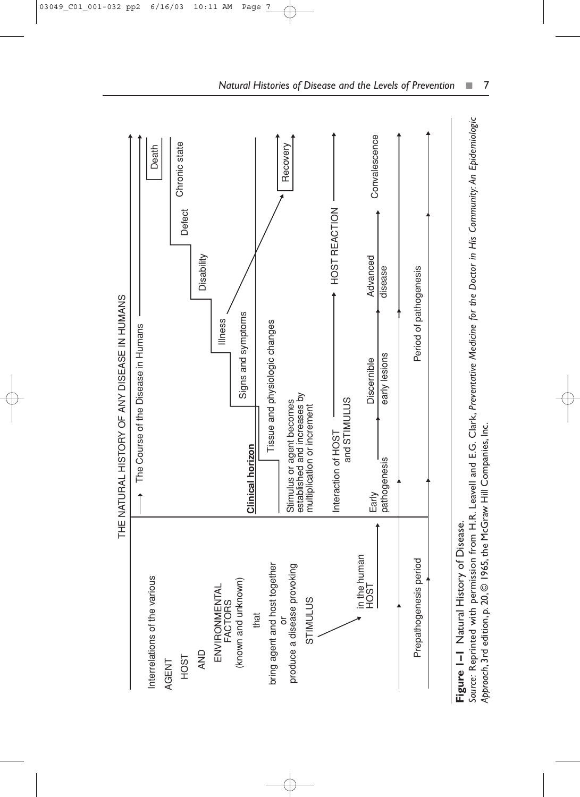

 $\oplus$ 

 $\oplus$ 

**Figure 1–1** Natural History of Disease.

*Source:* Reprinted with permission from H.R. Leavell and E.G. Clark, *Preventative Medicine for the Doctor in His Community: An Epidemiologic*  Source: Reprinted with permission from H.R. Leavell and E.G. Clark, Preventative Medicine for the Doctor in His Community: An Epidemiologic Approach, 3rd edition, p. 20, @ 1965, the McGraw Hill Companies, Inc. *Approach*, 3rd edition, p. 20, © 1965, the McGraw Hill Companies, Inc.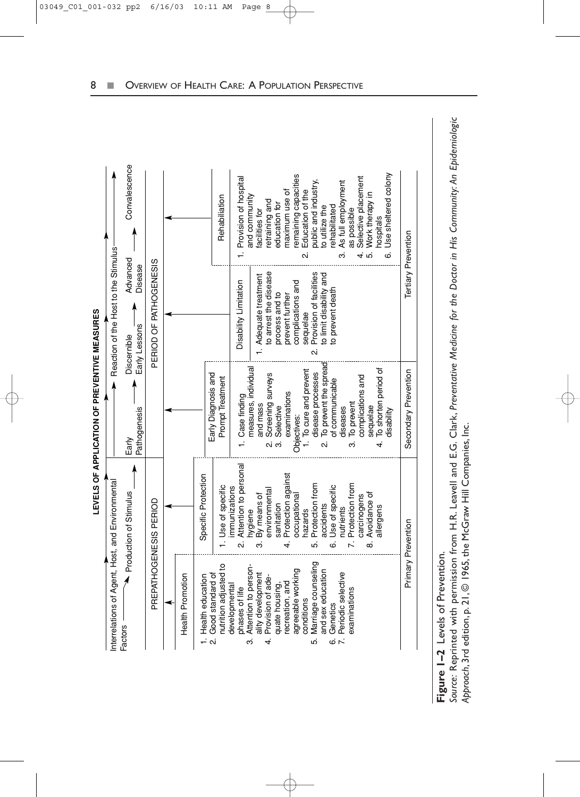| Attention to personal<br>Specific Protection<br>Protection against<br>Protection from<br>Protection from<br>1. Use of specific<br>Use of specific<br>immunizations<br>environmental<br>Avoidance of<br>occupational<br>By means of<br>carcinogens<br>PREPATHOGENESIS PERIOD<br>sanitation<br>accidents<br>nutrients<br>hygiene<br>hazards<br>$\overline{r}$<br>Νi<br>4.<br>ιó<br>က်<br>Ġ<br>ထ<br>5. Marriage counseling<br>and sex education<br>S,<br>Attention to person-<br>agreeable working<br><b>Health Promotion</b><br>2. Good standard of<br>nutrition adjusted<br>6. Genetics<br>7. Periodic selective<br>1. Health education<br>ality development<br>Provision of ade-<br>recreation, and<br>quate housing<br>developmental<br>phases of life<br>examinations<br>conditions | Pathogenesis<br>diseases<br>Objectives:<br>Early<br>പ്പ് ന്<br>ςi<br>က်<br>Host, and Environmental | To prevent the spread<br>measures, individua<br>To cure and prevent<br>disease processes<br>Early Diagnosis and<br>Screening surveys<br>complications and<br>Prompt Treatment<br>of communicable<br>examinations<br>1. Case finding<br>To prevent<br>and mass<br>Selective | Reaction of the Host to the Stimulus<br>Advanced<br>PERIOD OF PATHOGENESIS<br>Disease<br>to arrest the disease<br>Provision of facilities<br>to limit disability and<br>. Adequate treatment<br>Disability Limitation<br>complications and<br>to prevent death<br>process and to<br>prevent further<br>sequelae<br>Early Lessons<br>Discernible<br>ςi | Convalescence<br>remaining capacities<br>Selective placement<br>. Provision of hospital<br>public and industry,<br>As full employment<br>Education of the<br>maximum use of<br>and community<br>Rehabiliation<br>retraining and<br>education for<br>rehabilitated<br>to utilize the<br>as possible<br>facilities for<br>Νi<br>က်<br>4. ro |
|---------------------------------------------------------------------------------------------------------------------------------------------------------------------------------------------------------------------------------------------------------------------------------------------------------------------------------------------------------------------------------------------------------------------------------------------------------------------------------------------------------------------------------------------------------------------------------------------------------------------------------------------------------------------------------------------------------------------------------------------------------------------------------------|----------------------------------------------------------------------------------------------------|----------------------------------------------------------------------------------------------------------------------------------------------------------------------------------------------------------------------------------------------------------------------------|-------------------------------------------------------------------------------------------------------------------------------------------------------------------------------------------------------------------------------------------------------------------------------------------------------------------------------------------------------|-------------------------------------------------------------------------------------------------------------------------------------------------------------------------------------------------------------------------------------------------------------------------------------------------------------------------------------------|
| allergens<br>Primary Prevention                                                                                                                                                                                                                                                                                                                                                                                                                                                                                                                                                                                                                                                                                                                                                       | disability<br>4                                                                                    | To shorten period of<br>Secondary Prevention<br>sequelae                                                                                                                                                                                                                   |                                                                                                                                                                                                                                                                                                                                                       | Use sheltered colony<br>Work therapy in<br>hospitals<br><b>Tertiary Prevention</b><br>ۿ                                                                                                                                                                                                                                                   |

 $\oplus$ 

**Figure 1–2** Levels of Prevention.

**Figure 1–2** Levels of Prevention.<br>Source: Reprinted with permission from H.R. Leavell and E.G. Clark, Preventative Medicine for the Doctor in His Community: An Epidemiologic<br>Approach, 3rd edition, p.21, © 1965, the McGraw *Source:* Reprinted with permission from H.R. Leavell and E.G. Clark, *Preventative Medicine for the Doctor in His Community: An Epidemiologic Approach*, 3rd edition, p. 21, © 1965, the McGraw Hill Companies, Inc.

#### 8 **COVERVIEW OF HEALTH CARE: A POPULATION PERSPECTIVE**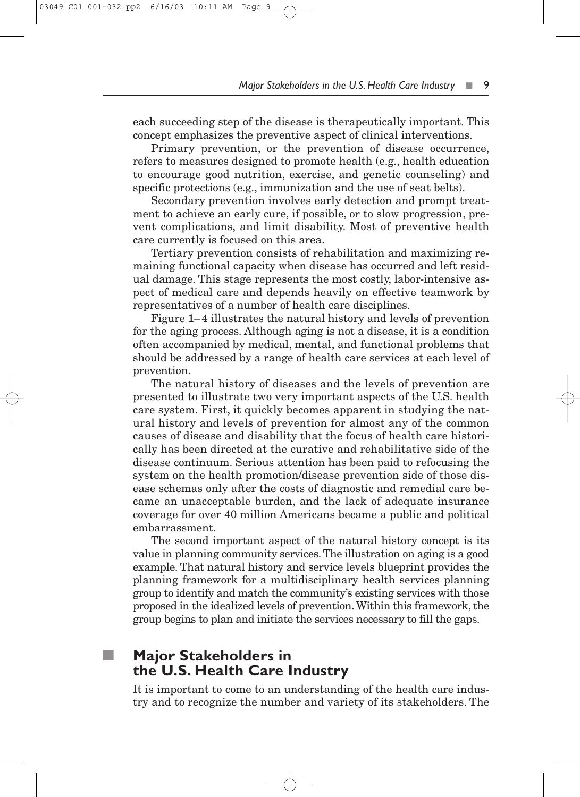each succeeding step of the disease is therapeutically important. This concept emphasizes the preventive aspect of clinical interventions.

Primary prevention, or the prevention of disease occurrence, refers to measures designed to promote health (e.g., health education to encourage good nutrition, exercise, and genetic counseling) and specific protections (e.g., immunization and the use of seat belts).

Secondary prevention involves early detection and prompt treatment to achieve an early cure, if possible, or to slow progression, prevent complications, and limit disability. Most of preventive health care currently is focused on this area.

Tertiary prevention consists of rehabilitation and maximizing remaining functional capacity when disease has occurred and left residual damage. This stage represents the most costly, labor-intensive aspect of medical care and depends heavily on effective teamwork by representatives of a number of health care disciplines.

Figure 1–4 illustrates the natural history and levels of prevention for the aging process. Although aging is not a disease, it is a condition often accompanied by medical, mental, and functional problems that should be addressed by a range of health care services at each level of prevention.

The natural history of diseases and the levels of prevention are presented to illustrate two very important aspects of the U.S. health care system. First, it quickly becomes apparent in studying the natural history and levels of prevention for almost any of the common causes of disease and disability that the focus of health care historically has been directed at the curative and rehabilitative side of the disease continuum. Serious attention has been paid to refocusing the system on the health promotion/disease prevention side of those disease schemas only after the costs of diagnostic and remedial care became an unacceptable burden, and the lack of adequate insurance coverage for over 40 million Americans became a public and political embarrassment.

The second important aspect of the natural history concept is its value in planning community services. The illustration on aging is a good example. That natural history and service levels blueprint provides the planning framework for a multidisciplinary health services planning group to identify and match the community's existing services with those proposed in the idealized levels of prevention. Within this framework, the group begins to plan and initiate the services necessary to fill the gaps.

# ■ **Major Stakeholders in the U.S. Health Care Industry**

It is important to come to an understanding of the health care industry and to recognize the number and variety of its stakeholders. The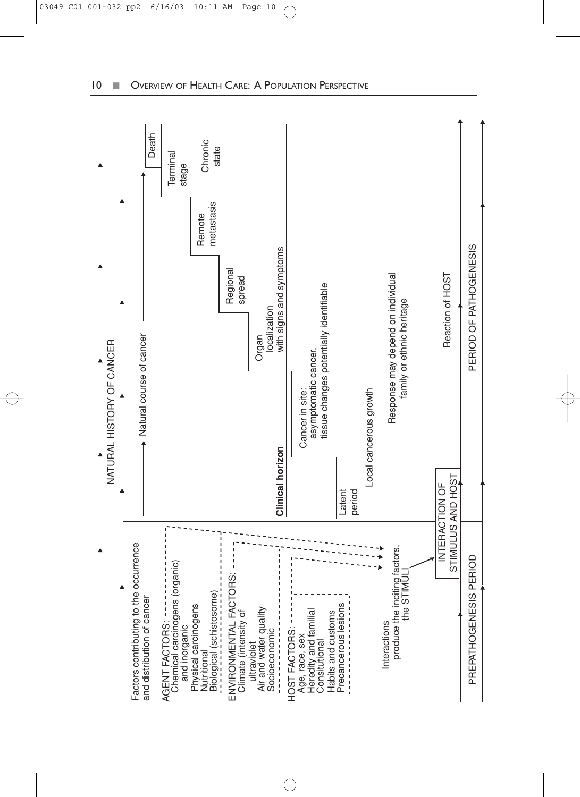

 $\oplus$ 

#### 10 ■ OVERVIEW OF HEALTH CARE: A POPULATION PERSPECTIVE

 $\displaystyle\bigoplus$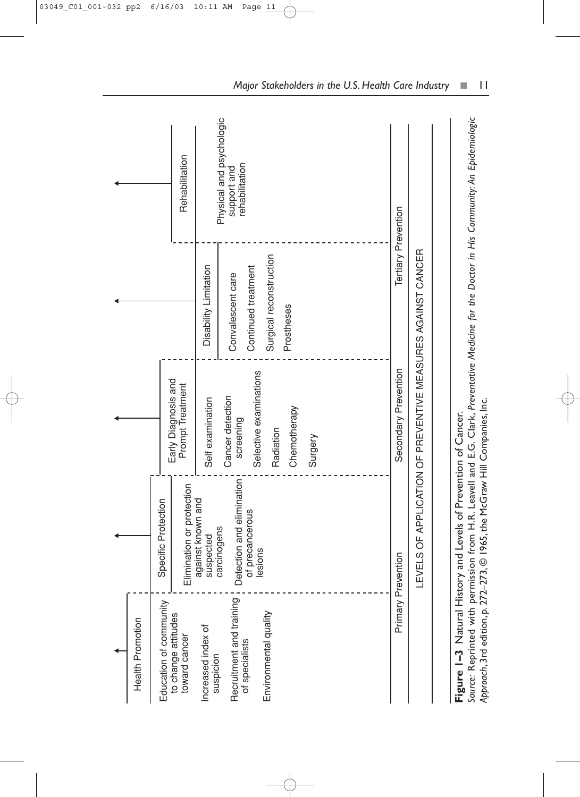|  | Rehabilitation                                                        |                        |                                         | Physical and psychologic<br>rehabilitation<br>support and |                                                                                                 |                      |                                                        | from H.R. Leavell and E.G. Clark, Preventative Medicine for the Doctor in His Community: An Epidemiologic |
|--|-----------------------------------------------------------------------|------------------------|-----------------------------------------|-----------------------------------------------------------|-------------------------------------------------------------------------------------------------|----------------------|--------------------------------------------------------|-----------------------------------------------------------------------------------------------------------|
|  |                                                                       |                        |                                         | Disability Limitation                                     | Surgical reconstruction<br>Continued treatment<br>Convalescent care<br>Prostheses               | Tertiary Prevention  |                                                        |                                                                                                           |
|  |                                                                       |                        | Early Diagnosis and<br>Prompt Treatment | Self examination                                          | Selective examinations<br>Cancer detection<br>Chemotherapy<br>screening<br>Radiation<br>Surgery | Secondary Prevention | S OF APPLICATION OF PREVENTIVE MEASURES AGAINST CANCER |                                                                                                           |
|  | Elimination or protection<br>Specific Protection<br>against known and |                        |                                         |                                                           | Detection and elimination<br>of precancerous<br>carcinogens<br>lesions                          |                      | LEVEL                                                  | Figure 1-3 Natural History and Levels of Prevention of Cancer.                                            |
|  | <b>Health Promotion</b>                                               | Education of community | to change attitudes<br>toward cancer    | Increased index of<br>suspicion                           | Recruitment and training<br>Environmental quality<br>of specialists                             | Primary Prevention   |                                                        | Source: Reprinted with permission                                                                         |

Æ

↧

*Approach*, 3rd edition, p. 272–273, © 1965, the McGraw Hill Companies, Inc.

Approach, 3rd edition, p. 272-273, @ 1965, the McGraw Hill Companies, Inc.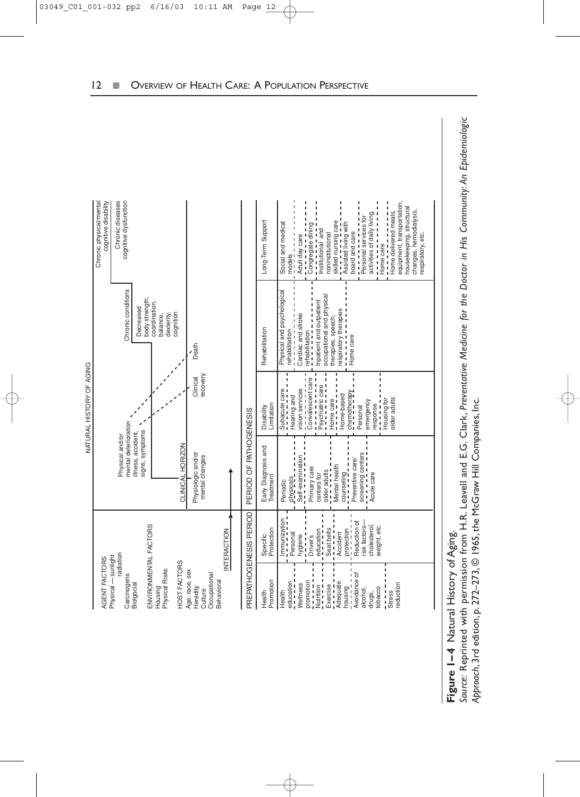

 $\oplus$ 

#### 12 **B** OVERVIEW OF HEALTH CARE: A POPULATION PERSPECTIVE

 $\overline{\varphi}$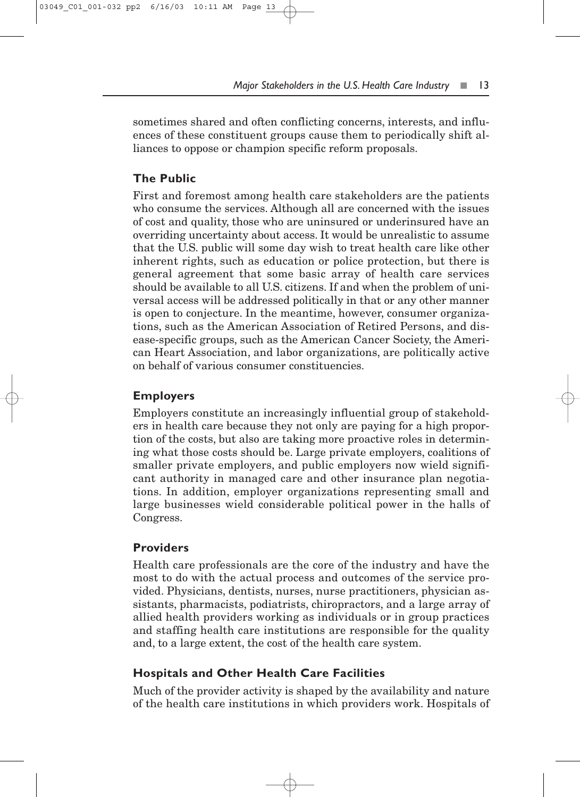sometimes shared and often conflicting concerns, interests, and influences of these constituent groups cause them to periodically shift alliances to oppose or champion specific reform proposals.

#### **The Public**

First and foremost among health care stakeholders are the patients who consume the services. Although all are concerned with the issues of cost and quality, those who are uninsured or underinsured have an overriding uncertainty about access. It would be unrealistic to assume that the U.S. public will some day wish to treat health care like other inherent rights, such as education or police protection, but there is general agreement that some basic array of health care services should be available to all U.S. citizens. If and when the problem of universal access will be addressed politically in that or any other manner is open to conjecture. In the meantime, however, consumer organizations, such as the American Association of Retired Persons, and disease-specific groups, such as the American Cancer Society, the American Heart Association, and labor organizations, are politically active on behalf of various consumer constituencies.

#### **Employers**

Employers constitute an increasingly influential group of stakeholders in health care because they not only are paying for a high proportion of the costs, but also are taking more proactive roles in determining what those costs should be. Large private employers, coalitions of smaller private employers, and public employers now wield significant authority in managed care and other insurance plan negotiations. In addition, employer organizations representing small and large businesses wield considerable political power in the halls of Congress.

#### **Providers**

Health care professionals are the core of the industry and have the most to do with the actual process and outcomes of the service provided. Physicians, dentists, nurses, nurse practitioners, physician assistants, pharmacists, podiatrists, chiropractors, and a large array of allied health providers working as individuals or in group practices and staffing health care institutions are responsible for the quality and, to a large extent, the cost of the health care system.

#### **Hospitals and Other Health Care Facilities**

Much of the provider activity is shaped by the availability and nature of the health care institutions in which providers work. Hospitals of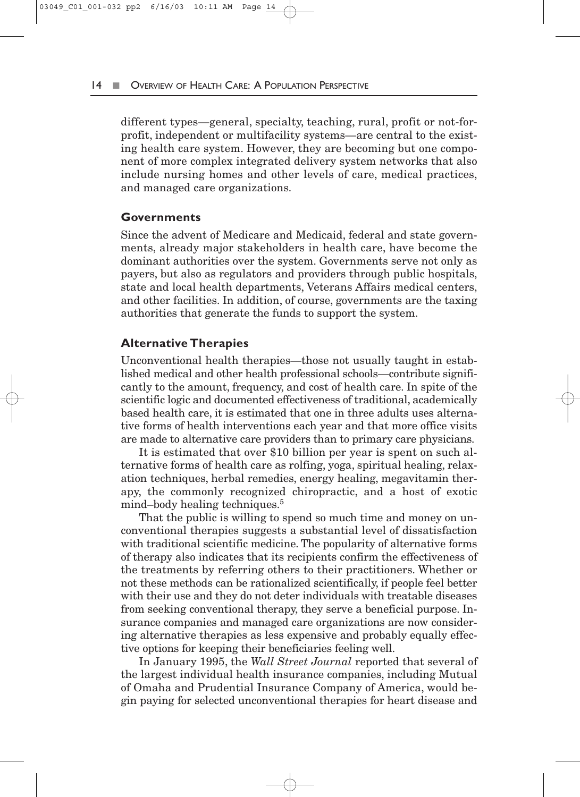#### 14 **B** OVERVIEW OF HEALTH CARE: A POPULATION PERSPECTIVE

different types—general, specialty, teaching, rural, profit or not-forprofit, independent or multifacility systems—are central to the existing health care system. However, they are becoming but one component of more complex integrated delivery system networks that also include nursing homes and other levels of care, medical practices, and managed care organizations.

#### **Governments**

Since the advent of Medicare and Medicaid, federal and state governments, already major stakeholders in health care, have become the dominant authorities over the system. Governments serve not only as payers, but also as regulators and providers through public hospitals, state and local health departments, Veterans Affairs medical centers, and other facilities. In addition, of course, governments are the taxing authorities that generate the funds to support the system.

#### **Alternative Therapies**

Unconventional health therapies—those not usually taught in established medical and other health professional schools—contribute significantly to the amount, frequency, and cost of health care. In spite of the scientific logic and documented effectiveness of traditional, academically based health care, it is estimated that one in three adults uses alternative forms of health interventions each year and that more office visits are made to alternative care providers than to primary care physicians.

It is estimated that over \$10 billion per year is spent on such alternative forms of health care as rolfing, yoga, spiritual healing, relaxation techniques, herbal remedies, energy healing, megavitamin therapy, the commonly recognized chiropractic, and a host of exotic mind–body healing techniques.<sup>5</sup>

That the public is willing to spend so much time and money on unconventional therapies suggests a substantial level of dissatisfaction with traditional scientific medicine. The popularity of alternative forms of therapy also indicates that its recipients confirm the effectiveness of the treatments by referring others to their practitioners. Whether or not these methods can be rationalized scientifically, if people feel better with their use and they do not deter individuals with treatable diseases from seeking conventional therapy, they serve a beneficial purpose. Insurance companies and managed care organizations are now considering alternative therapies as less expensive and probably equally effective options for keeping their beneficiaries feeling well.

In January 1995, the *Wall Street Journal* reported that several of the largest individual health insurance companies, including Mutual of Omaha and Prudential Insurance Company of America, would begin paying for selected unconventional therapies for heart disease and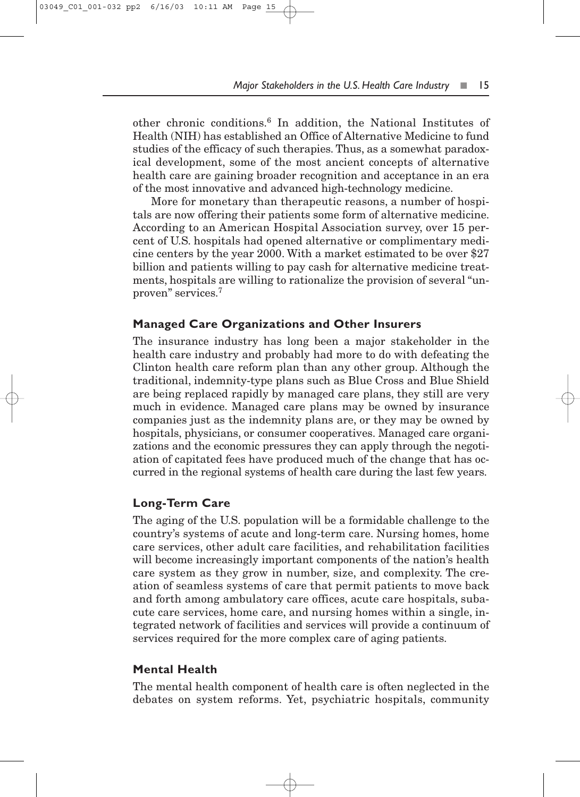other chronic conditions.6 In addition, the National Institutes of Health (NIH) has established an Office of Alternative Medicine to fund studies of the efficacy of such therapies. Thus, as a somewhat paradoxical development, some of the most ancient concepts of alternative health care are gaining broader recognition and acceptance in an era of the most innovative and advanced high-technology medicine.

More for monetary than therapeutic reasons, a number of hospitals are now offering their patients some form of alternative medicine. According to an American Hospital Association survey, over 15 percent of U.S. hospitals had opened alternative or complimentary medicine centers by the year 2000. With a market estimated to be over \$27 billion and patients willing to pay cash for alternative medicine treatments, hospitals are willing to rationalize the provision of several "unproven" services.7

#### **Managed Care Organizations and Other Insurers**

The insurance industry has long been a major stakeholder in the health care industry and probably had more to do with defeating the Clinton health care reform plan than any other group. Although the traditional, indemnity-type plans such as Blue Cross and Blue Shield are being replaced rapidly by managed care plans, they still are very much in evidence. Managed care plans may be owned by insurance companies just as the indemnity plans are, or they may be owned by hospitals, physicians, or consumer cooperatives. Managed care organizations and the economic pressures they can apply through the negotiation of capitated fees have produced much of the change that has occurred in the regional systems of health care during the last few years.

#### **Long-Term Care**

The aging of the U.S. population will be a formidable challenge to the country's systems of acute and long-term care. Nursing homes, home care services, other adult care facilities, and rehabilitation facilities will become increasingly important components of the nation's health care system as they grow in number, size, and complexity. The creation of seamless systems of care that permit patients to move back and forth among ambulatory care offices, acute care hospitals, subacute care services, home care, and nursing homes within a single, integrated network of facilities and services will provide a continuum of services required for the more complex care of aging patients.

#### **Mental Health**

The mental health component of health care is often neglected in the debates on system reforms. Yet, psychiatric hospitals, community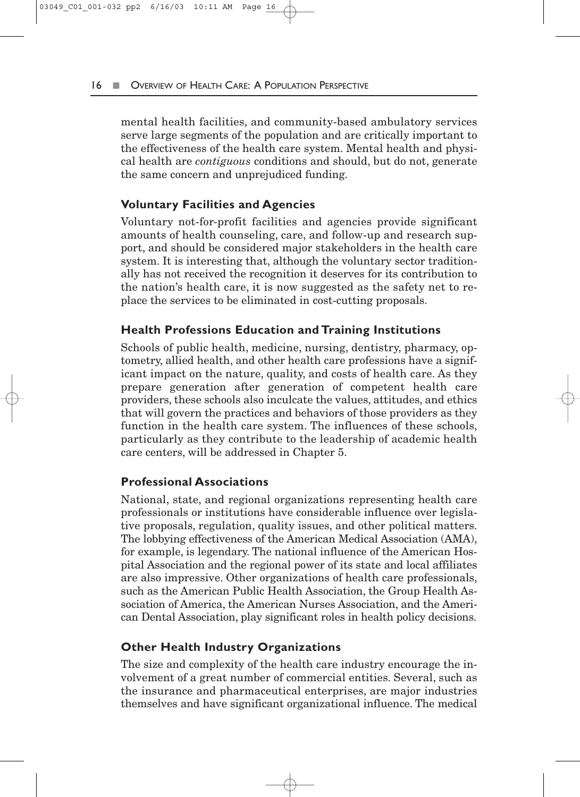#### 16 ■ OVERVIEW OF HEALTH CARE: A POPULATION PERSPECTIVE

mental health facilities, and community-based ambulatory services serve large segments of the population and are critically important to the effectiveness of the health care system. Mental health and physical health are *contiguous* conditions and should, but do not, generate the same concern and unprejudiced funding.

# **Voluntary Facilities and Agencies**

Voluntary not-for-profit facilities and agencies provide significant amounts of health counseling, care, and follow-up and research support, and should be considered major stakeholders in the health care system. It is interesting that, although the voluntary sector traditionally has not received the recognition it deserves for its contribution to the nation's health care, it is now suggested as the safety net to replace the services to be eliminated in cost-cutting proposals.

### **Health Professions Education and Training Institutions**

Schools of public health, medicine, nursing, dentistry, pharmacy, optometry, allied health, and other health care professions have a significant impact on the nature, quality, and costs of health care. As they prepare generation after generation of competent health care providers, these schools also inculcate the values, attitudes, and ethics that will govern the practices and behaviors of those providers as they function in the health care system. The influences of these schools, particularly as they contribute to the leadership of academic health care centers, will be addressed in Chapter 5.

# **Professional Associations**

National, state, and regional organizations representing health care professionals or institutions have considerable influence over legislative proposals, regulation, quality issues, and other political matters. The lobbying effectiveness of the American Medical Association (AMA), for example, is legendary. The national influence of the American Hospital Association and the regional power of its state and local affiliates are also impressive. Other organizations of health care professionals, such as the American Public Health Association, the Group Health Association of America, the American Nurses Association, and the American Dental Association, play significant roles in health policy decisions.

# **Other Health Industry Organizations**

The size and complexity of the health care industry encourage the involvement of a great number of commercial entities. Several, such as the insurance and pharmaceutical enterprises, are major industries themselves and have significant organizational influence. The medical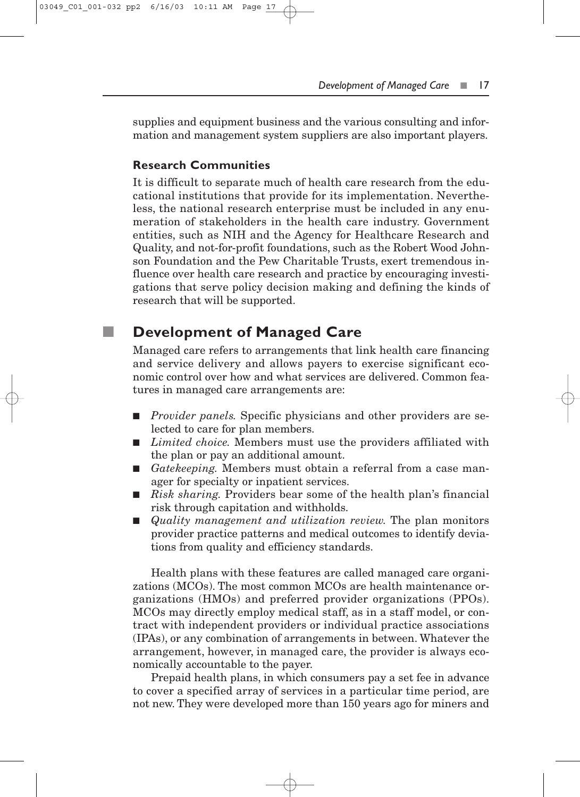03049 C01 001-032 pp2 6/16/03 10:11 AM

supplies and equipment business and the various consulting and information and management system suppliers are also important players.

#### **Research Communities**

It is difficult to separate much of health care research from the educational institutions that provide for its implementation. Nevertheless, the national research enterprise must be included in any enumeration of stakeholders in the health care industry. Government entities, such as NIH and the Agency for Healthcare Research and Quality, and not-for-profit foundations, such as the Robert Wood Johnson Foundation and the Pew Charitable Trusts, exert tremendous influence over health care research and practice by encouraging investigations that serve policy decision making and defining the kinds of research that will be supported.

# **Development of Managed Care**

Managed care refers to arrangements that link health care financing and service delivery and allows payers to exercise significant economic control over how and what services are delivered. Common features in managed care arrangements are:

- *Provider panels.* Specific physicians and other providers are selected to care for plan members.
- *Limited choice*. Members must use the providers affiliated with the plan or pay an additional amount.
- *Gatekeeping*. Members must obtain a referral from a case manager for specialty or inpatient services.
- *Risk sharing.* Providers bear some of the health plan's financial risk through capitation and withholds.
- *Quality management and utilization review*. The plan monitors provider practice patterns and medical outcomes to identify deviations from quality and efficiency standards.

Health plans with these features are called managed care organizations (MCOs). The most common MCOs are health maintenance organizations (HMOs) and preferred provider organizations (PPOs). MCOs may directly employ medical staff, as in a staff model, or contract with independent providers or individual practice associations (IPAs), or any combination of arrangements in between. Whatever the arrangement, however, in managed care, the provider is always economically accountable to the payer.

Prepaid health plans, in which consumers pay a set fee in advance to cover a specified array of services in a particular time period, are not new. They were developed more than 150 years ago for miners and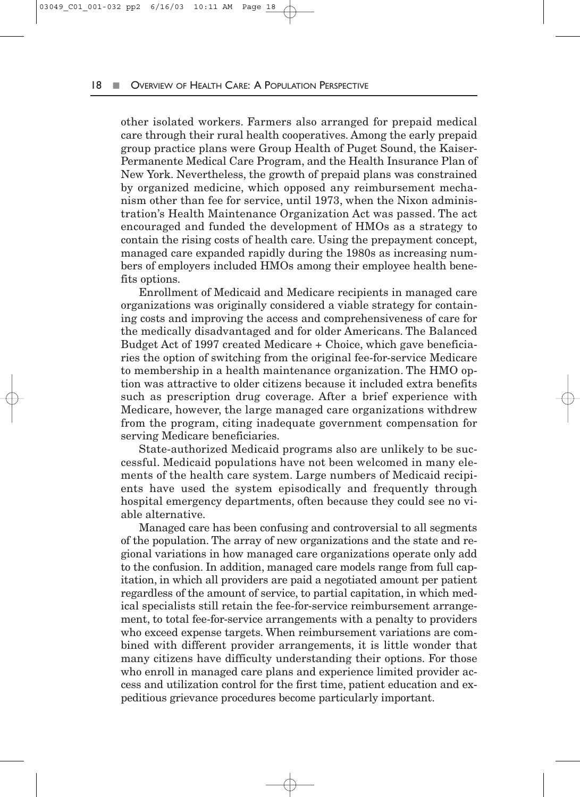#### 18 **COVERVIEW OF HEALTH CARE: A POPULATION PERSPECTIVE**

other isolated workers. Farmers also arranged for prepaid medical care through their rural health cooperatives. Among the early prepaid group practice plans were Group Health of Puget Sound, the Kaiser-Permanente Medical Care Program, and the Health Insurance Plan of New York. Nevertheless, the growth of prepaid plans was constrained by organized medicine, which opposed any reimbursement mechanism other than fee for service, until 1973, when the Nixon administration's Health Maintenance Organization Act was passed. The act encouraged and funded the development of HMOs as a strategy to contain the rising costs of health care. Using the prepayment concept, managed care expanded rapidly during the 1980s as increasing numbers of employers included HMOs among their employee health benefits options.

Enrollment of Medicaid and Medicare recipients in managed care organizations was originally considered a viable strategy for containing costs and improving the access and comprehensiveness of care for the medically disadvantaged and for older Americans. The Balanced Budget Act of 1997 created Medicare + Choice, which gave beneficiaries the option of switching from the original fee-for-service Medicare to membership in a health maintenance organization. The HMO option was attractive to older citizens because it included extra benefits such as prescription drug coverage. After a brief experience with Medicare, however, the large managed care organizations withdrew from the program, citing inadequate government compensation for serving Medicare beneficiaries.

State-authorized Medicaid programs also are unlikely to be successful. Medicaid populations have not been welcomed in many elements of the health care system. Large numbers of Medicaid recipients have used the system episodically and frequently through hospital emergency departments, often because they could see no viable alternative.

Managed care has been confusing and controversial to all segments of the population. The array of new organizations and the state and regional variations in how managed care organizations operate only add to the confusion. In addition, managed care models range from full capitation, in which all providers are paid a negotiated amount per patient regardless of the amount of service, to partial capitation, in which medical specialists still retain the fee-for-service reimbursement arrangement, to total fee-for-service arrangements with a penalty to providers who exceed expense targets. When reimbursement variations are combined with different provider arrangements, it is little wonder that many citizens have difficulty understanding their options. For those who enroll in managed care plans and experience limited provider access and utilization control for the first time, patient education and expeditious grievance procedures become particularly important.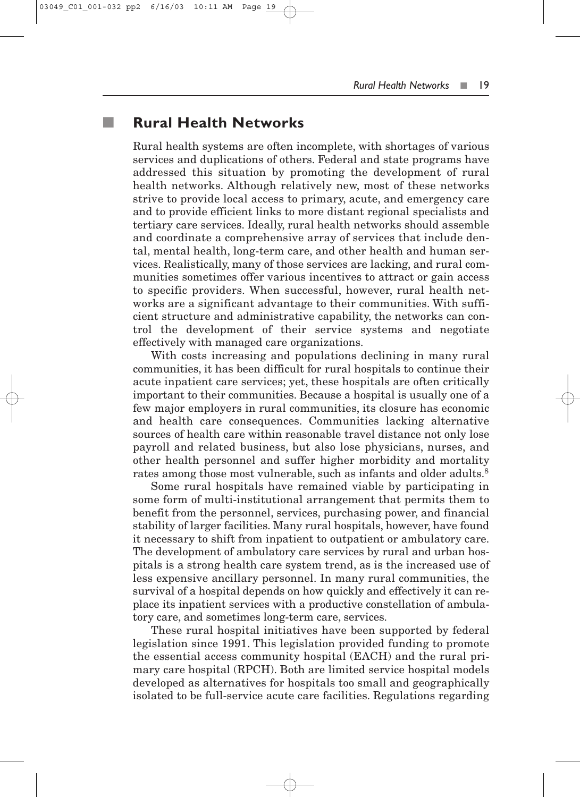# ■ **Rural Health Networks**

Rural health systems are often incomplete, with shortages of various services and duplications of others. Federal and state programs have addressed this situation by promoting the development of rural health networks. Although relatively new, most of these networks strive to provide local access to primary, acute, and emergency care and to provide efficient links to more distant regional specialists and tertiary care services. Ideally, rural health networks should assemble and coordinate a comprehensive array of services that include dental, mental health, long-term care, and other health and human services. Realistically, many of those services are lacking, and rural communities sometimes offer various incentives to attract or gain access to specific providers. When successful, however, rural health networks are a significant advantage to their communities. With sufficient structure and administrative capability, the networks can control the development of their service systems and negotiate effectively with managed care organizations.

With costs increasing and populations declining in many rural communities, it has been difficult for rural hospitals to continue their acute inpatient care services; yet, these hospitals are often critically important to their communities. Because a hospital is usually one of a few major employers in rural communities, its closure has economic and health care consequences. Communities lacking alternative sources of health care within reasonable travel distance not only lose payroll and related business, but also lose physicians, nurses, and other health personnel and suffer higher morbidity and mortality rates among those most vulnerable, such as infants and older adults.<sup>8</sup>

Some rural hospitals have remained viable by participating in some form of multi-institutional arrangement that permits them to benefit from the personnel, services, purchasing power, and financial stability of larger facilities. Many rural hospitals, however, have found it necessary to shift from inpatient to outpatient or ambulatory care. The development of ambulatory care services by rural and urban hospitals is a strong health care system trend, as is the increased use of less expensive ancillary personnel. In many rural communities, the survival of a hospital depends on how quickly and effectively it can replace its inpatient services with a productive constellation of ambulatory care, and sometimes long-term care, services.

These rural hospital initiatives have been supported by federal legislation since 1991. This legislation provided funding to promote the essential access community hospital (EACH) and the rural primary care hospital (RPCH). Both are limited service hospital models developed as alternatives for hospitals too small and geographically isolated to be full-service acute care facilities. Regulations regarding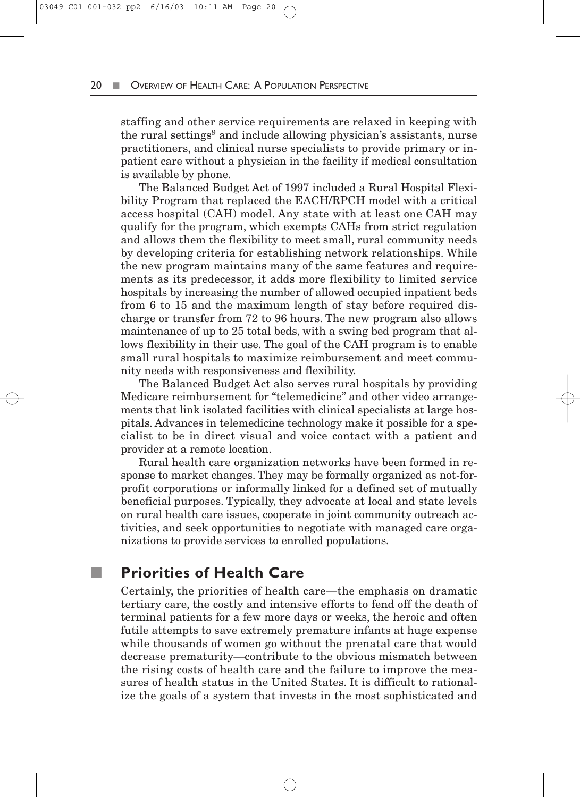#### 20 **B** OVERVIEW OF HEALTH CARE: A POPULATION PERSPECTIVE

staffing and other service requirements are relaxed in keeping with the rural settings<sup>9</sup> and include allowing physician's assistants, nurse practitioners, and clinical nurse specialists to provide primary or inpatient care without a physician in the facility if medical consultation is available by phone.

The Balanced Budget Act of 1997 included a Rural Hospital Flexibility Program that replaced the EACH/RPCH model with a critical access hospital (CAH) model. Any state with at least one CAH may qualify for the program, which exempts CAHs from strict regulation and allows them the flexibility to meet small, rural community needs by developing criteria for establishing network relationships. While the new program maintains many of the same features and requirements as its predecessor, it adds more flexibility to limited service hospitals by increasing the number of allowed occupied inpatient beds from 6 to 15 and the maximum length of stay before required discharge or transfer from 72 to 96 hours. The new program also allows maintenance of up to 25 total beds, with a swing bed program that allows flexibility in their use. The goal of the CAH program is to enable small rural hospitals to maximize reimbursement and meet community needs with responsiveness and flexibility.

The Balanced Budget Act also serves rural hospitals by providing Medicare reimbursement for "telemedicine" and other video arrangements that link isolated facilities with clinical specialists at large hospitals. Advances in telemedicine technology make it possible for a specialist to be in direct visual and voice contact with a patient and provider at a remote location.

Rural health care organization networks have been formed in response to market changes. They may be formally organized as not-forprofit corporations or informally linked for a defined set of mutually beneficial purposes. Typically, they advocate at local and state levels on rural health care issues, cooperate in joint community outreach activities, and seek opportunities to negotiate with managed care organizations to provide services to enrolled populations.

# ■ **Priorities of Health Care**

Certainly, the priorities of health care—the emphasis on dramatic tertiary care, the costly and intensive efforts to fend off the death of terminal patients for a few more days or weeks, the heroic and often futile attempts to save extremely premature infants at huge expense while thousands of women go without the prenatal care that would decrease prematurity—contribute to the obvious mismatch between the rising costs of health care and the failure to improve the measures of health status in the United States. It is difficult to rationalize the goals of a system that invests in the most sophisticated and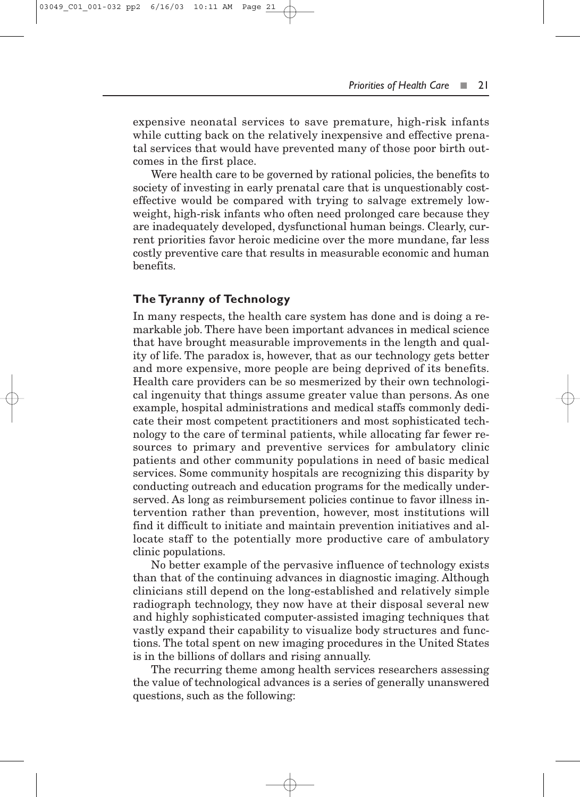expensive neonatal services to save premature, high-risk infants while cutting back on the relatively inexpensive and effective prenatal services that would have prevented many of those poor birth outcomes in the first place.

Were health care to be governed by rational policies, the benefits to society of investing in early prenatal care that is unquestionably costeffective would be compared with trying to salvage extremely lowweight, high-risk infants who often need prolonged care because they are inadequately developed, dysfunctional human beings. Clearly, current priorities favor heroic medicine over the more mundane, far less costly preventive care that results in measurable economic and human benefits.

#### **The Tyranny of Technology**

In many respects, the health care system has done and is doing a remarkable job. There have been important advances in medical science that have brought measurable improvements in the length and quality of life. The paradox is, however, that as our technology gets better and more expensive, more people are being deprived of its benefits. Health care providers can be so mesmerized by their own technological ingenuity that things assume greater value than persons. As one example, hospital administrations and medical staffs commonly dedicate their most competent practitioners and most sophisticated technology to the care of terminal patients, while allocating far fewer resources to primary and preventive services for ambulatory clinic patients and other community populations in need of basic medical services. Some community hospitals are recognizing this disparity by conducting outreach and education programs for the medically underserved. As long as reimbursement policies continue to favor illness intervention rather than prevention, however, most institutions will find it difficult to initiate and maintain prevention initiatives and allocate staff to the potentially more productive care of ambulatory clinic populations.

No better example of the pervasive influence of technology exists than that of the continuing advances in diagnostic imaging. Although clinicians still depend on the long-established and relatively simple radiograph technology, they now have at their disposal several new and highly sophisticated computer-assisted imaging techniques that vastly expand their capability to visualize body structures and functions. The total spent on new imaging procedures in the United States is in the billions of dollars and rising annually.

The recurring theme among health services researchers assessing the value of technological advances is a series of generally unanswered questions, such as the following: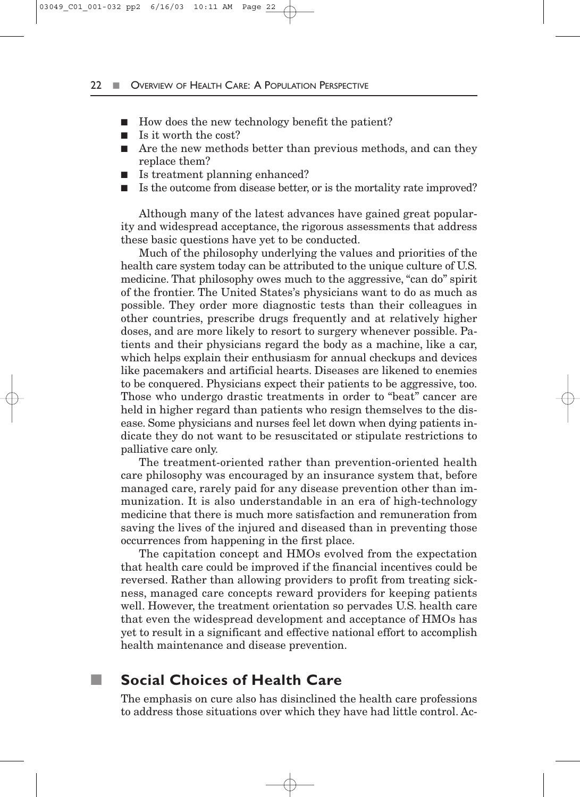#### 22 **COVERVIEW OF HEALTH CARE: A POPULATION PERSPECTIVE**

- How does the new technology benefit the patient?
- Is it worth the cost?
- Are the new methods better than previous methods, and can they replace them?
- Is treatment planning enhanced?
- Is the outcome from disease better, or is the mortality rate improved?

Although many of the latest advances have gained great popularity and widespread acceptance, the rigorous assessments that address these basic questions have yet to be conducted.

Much of the philosophy underlying the values and priorities of the health care system today can be attributed to the unique culture of U.S. medicine. That philosophy owes much to the aggressive, "can do" spirit of the frontier. The United States's physicians want to do as much as possible. They order more diagnostic tests than their colleagues in other countries, prescribe drugs frequently and at relatively higher doses, and are more likely to resort to surgery whenever possible. Patients and their physicians regard the body as a machine, like a car, which helps explain their enthusiasm for annual checkups and devices like pacemakers and artificial hearts. Diseases are likened to enemies to be conquered. Physicians expect their patients to be aggressive, too. Those who undergo drastic treatments in order to "beat" cancer are held in higher regard than patients who resign themselves to the disease. Some physicians and nurses feel let down when dying patients indicate they do not want to be resuscitated or stipulate restrictions to palliative care only.

The treatment-oriented rather than prevention-oriented health care philosophy was encouraged by an insurance system that, before managed care, rarely paid for any disease prevention other than immunization. It is also understandable in an era of high-technology medicine that there is much more satisfaction and remuneration from saving the lives of the injured and diseased than in preventing those occurrences from happening in the first place.

The capitation concept and HMOs evolved from the expectation that health care could be improved if the financial incentives could be reversed. Rather than allowing providers to profit from treating sickness, managed care concepts reward providers for keeping patients well. However, the treatment orientation so pervades U.S. health care that even the widespread development and acceptance of HMOs has yet to result in a significant and effective national effort to accomplish health maintenance and disease prevention.

# ■ **Social Choices of Health Care**

The emphasis on cure also has disinclined the health care professions to address those situations over which they have had little control. Ac-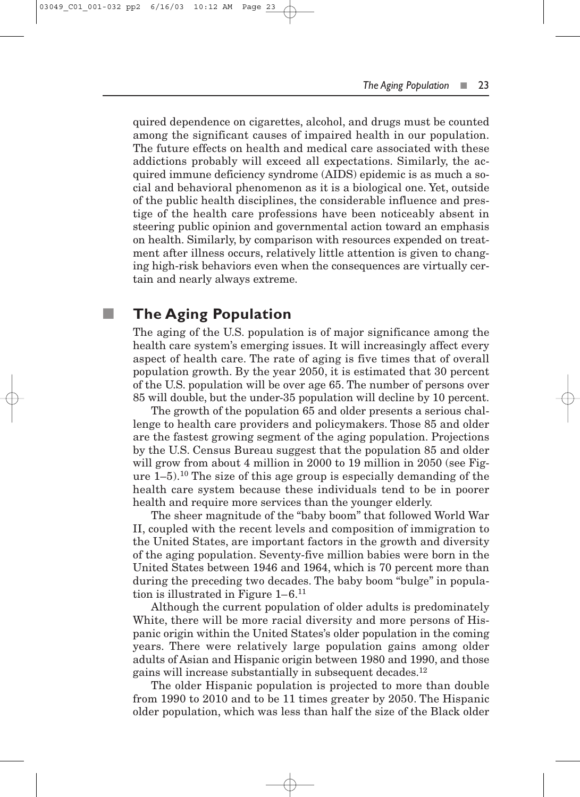quired dependence on cigarettes, alcohol, and drugs must be counted among the significant causes of impaired health in our population. The future effects on health and medical care associated with these addictions probably will exceed all expectations. Similarly, the acquired immune deficiency syndrome (AIDS) epidemic is as much a social and behavioral phenomenon as it is a biological one. Yet, outside of the public health disciplines, the considerable influence and prestige of the health care professions have been noticeably absent in steering public opinion and governmental action toward an emphasis on health. Similarly, by comparison with resources expended on treatment after illness occurs, relatively little attention is given to changing high-risk behaviors even when the consequences are virtually certain and nearly always extreme.

# **The Aging Population**

The aging of the U.S. population is of major significance among the health care system's emerging issues. It will increasingly affect every aspect of health care. The rate of aging is five times that of overall population growth. By the year 2050, it is estimated that 30 percent of the U.S. population will be over age 65. The number of persons over 85 will double, but the under-35 population will decline by 10 percent.

The growth of the population 65 and older presents a serious challenge to health care providers and policymakers. Those 85 and older are the fastest growing segment of the aging population. Projections by the U.S. Census Bureau suggest that the population 85 and older will grow from about 4 million in 2000 to 19 million in 2050 (see Figure  $1-5$ ).<sup>10</sup> The size of this age group is especially demanding of the health care system because these individuals tend to be in poorer health and require more services than the younger elderly.

The sheer magnitude of the "baby boom" that followed World War II, coupled with the recent levels and composition of immigration to the United States, are important factors in the growth and diversity of the aging population. Seventy-five million babies were born in the United States between 1946 and 1964, which is 70 percent more than during the preceding two decades. The baby boom "bulge" in population is illustrated in Figure  $1-6$ .<sup>11</sup>

Although the current population of older adults is predominately White, there will be more racial diversity and more persons of Hispanic origin within the United States's older population in the coming years. There were relatively large population gains among older adults of Asian and Hispanic origin between 1980 and 1990, and those gains will increase substantially in subsequent decades.12

The older Hispanic population is projected to more than double from 1990 to 2010 and to be 11 times greater by 2050. The Hispanic older population, which was less than half the size of the Black older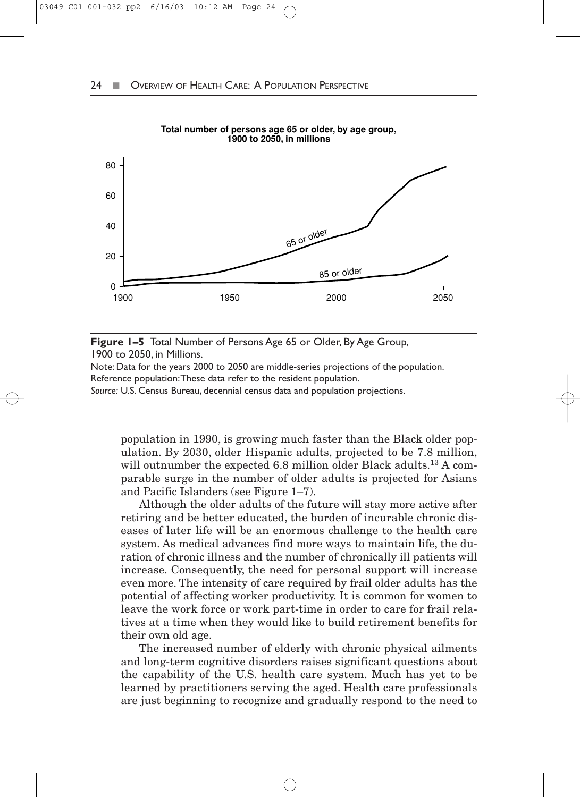



**Total number of persons age 65 or older, by age group, 1900 to 2050, in millions**

**Figure 1–5** Total Number of Persons Age 65 or Older, By Age Group, 1900 to 2050, in Millions. Note: Data for the years 2000 to 2050 are middle-series projections of the population.

Reference population:These data refer to the resident population.

*Source:* U.S. Census Bureau, decennial census data and population projections.

population in 1990, is growing much faster than the Black older population. By 2030, older Hispanic adults, projected to be 7.8 million, will outnumber the expected 6.8 million older Black adults.<sup>13</sup> A comparable surge in the number of older adults is projected for Asians and Pacific Islanders (see Figure 1–7).

Although the older adults of the future will stay more active after retiring and be better educated, the burden of incurable chronic diseases of later life will be an enormous challenge to the health care system. As medical advances find more ways to maintain life, the duration of chronic illness and the number of chronically ill patients will increase. Consequently, the need for personal support will increase even more. The intensity of care required by frail older adults has the potential of affecting worker productivity. It is common for women to leave the work force or work part-time in order to care for frail relatives at a time when they would like to build retirement benefits for their own old age.

The increased number of elderly with chronic physical ailments and long-term cognitive disorders raises significant questions about the capability of the U.S. health care system. Much has yet to be learned by practitioners serving the aged. Health care professionals are just beginning to recognize and gradually respond to the need to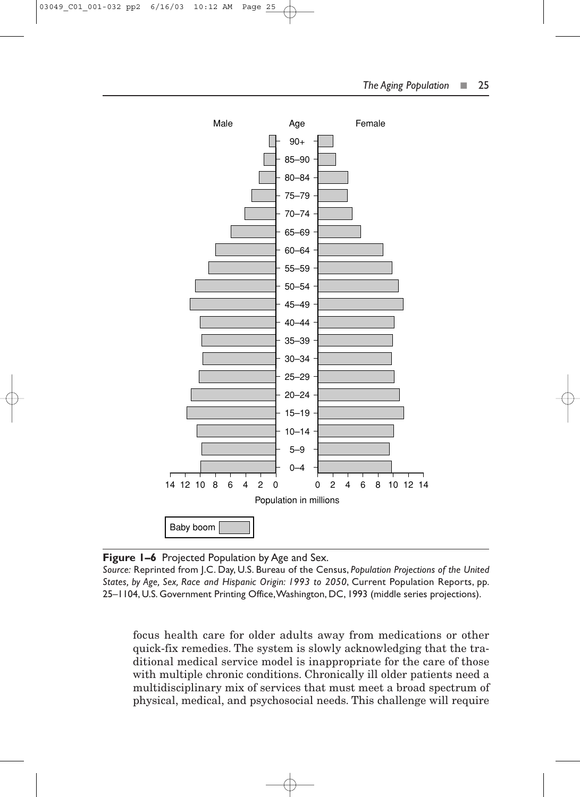



*Source:* Reprinted from J.C. Day, U.S. Bureau of the Census, *Population Projections of the United States, by Age, Sex, Race and Hispanic Origin: 1993 to 2050*, Current Population Reports, pp. 25–1104, U.S. Government Printing Office,Washington, DC, 1993 (middle series projections).

focus health care for older adults away from medications or other quick-fix remedies. The system is slowly acknowledging that the traditional medical service model is inappropriate for the care of those with multiple chronic conditions. Chronically ill older patients need a multidisciplinary mix of services that must meet a broad spectrum of physical, medical, and psychosocial needs. This challenge will require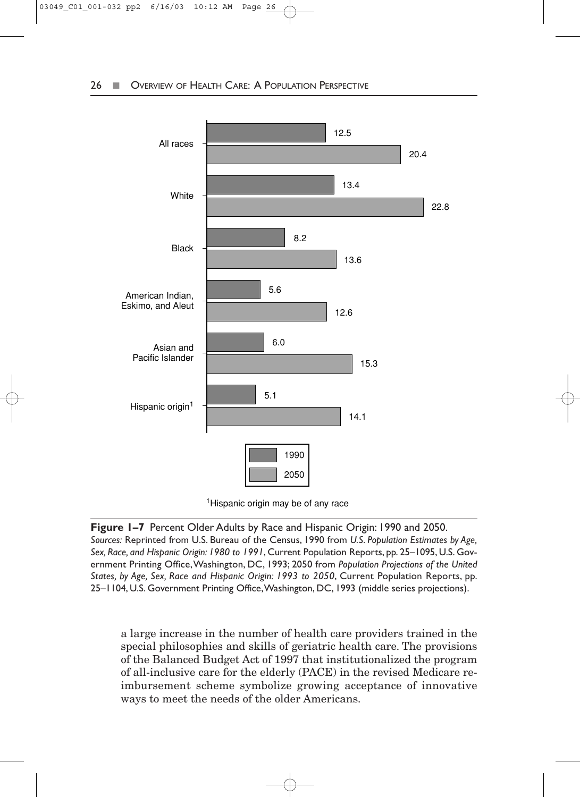



1Hispanic origin may be of any race

**Figure 1–7** Percent Older Adults by Race and Hispanic Origin: 1990 and 2050. *Sources:* Reprinted from U.S. Bureau of the Census, 1990 from *U.S. Population Estimates by Age, Sex, Race, and Hispanic Origin: 1980 to 1991*, Current Population Reports, pp. 25–1095, U.S. Government Printing Office,Washington, DC, 1993; 2050 from *Population Projections of the United States, by Age, Sex, Race and Hispanic Origin: 1993 to 2050*, Current Population Reports, pp. 25–1104, U.S. Government Printing Office,Washington, DC, 1993 (middle series projections).

a large increase in the number of health care providers trained in the special philosophies and skills of geriatric health care. The provisions of the Balanced Budget Act of 1997 that institutionalized the program of all-inclusive care for the elderly (PACE) in the revised Medicare reimbursement scheme symbolize growing acceptance of innovative ways to meet the needs of the older Americans.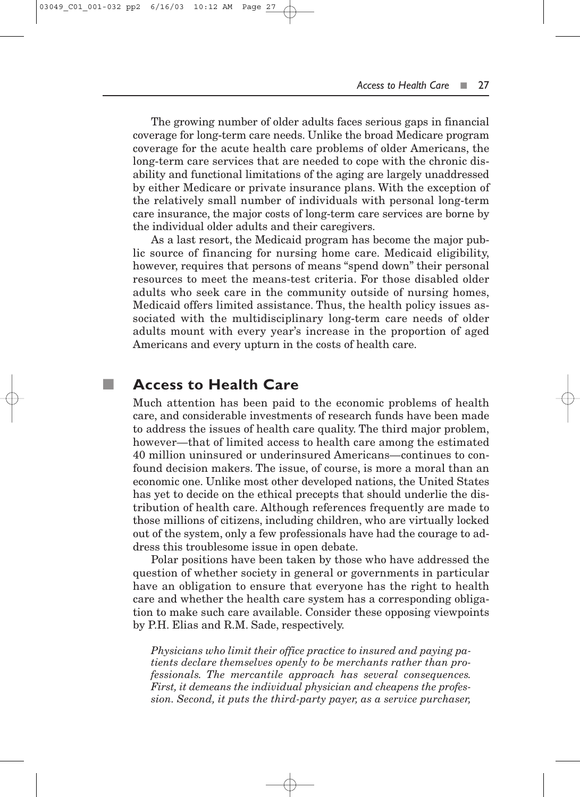The growing number of older adults faces serious gaps in financial coverage for long-term care needs. Unlike the broad Medicare program coverage for the acute health care problems of older Americans, the long-term care services that are needed to cope with the chronic disability and functional limitations of the aging are largely unaddressed by either Medicare or private insurance plans. With the exception of the relatively small number of individuals with personal long-term care insurance, the major costs of long-term care services are borne by the individual older adults and their caregivers.

As a last resort, the Medicaid program has become the major public source of financing for nursing home care. Medicaid eligibility, however, requires that persons of means "spend down" their personal resources to meet the means-test criteria. For those disabled older adults who seek care in the community outside of nursing homes, Medicaid offers limited assistance. Thus, the health policy issues associated with the multidisciplinary long-term care needs of older adults mount with every year's increase in the proportion of aged Americans and every upturn in the costs of health care.

# ■ **Access to Health Care**

Much attention has been paid to the economic problems of health care, and considerable investments of research funds have been made to address the issues of health care quality. The third major problem, however—that of limited access to health care among the estimated 40 million uninsured or underinsured Americans—continues to confound decision makers. The issue, of course, is more a moral than an economic one. Unlike most other developed nations, the United States has yet to decide on the ethical precepts that should underlie the distribution of health care. Although references frequently are made to those millions of citizens, including children, who are virtually locked out of the system, only a few professionals have had the courage to address this troublesome issue in open debate.

Polar positions have been taken by those who have addressed the question of whether society in general or governments in particular have an obligation to ensure that everyone has the right to health care and whether the health care system has a corresponding obligation to make such care available. Consider these opposing viewpoints by P.H. Elias and R.M. Sade, respectively.

*Physicians who limit their office practice to insured and paying patients declare themselves openly to be merchants rather than professionals. The mercantile approach has several consequences. First, it demeans the individual physician and cheapens the profession. Second, it puts the third-party payer, as a service purchaser,*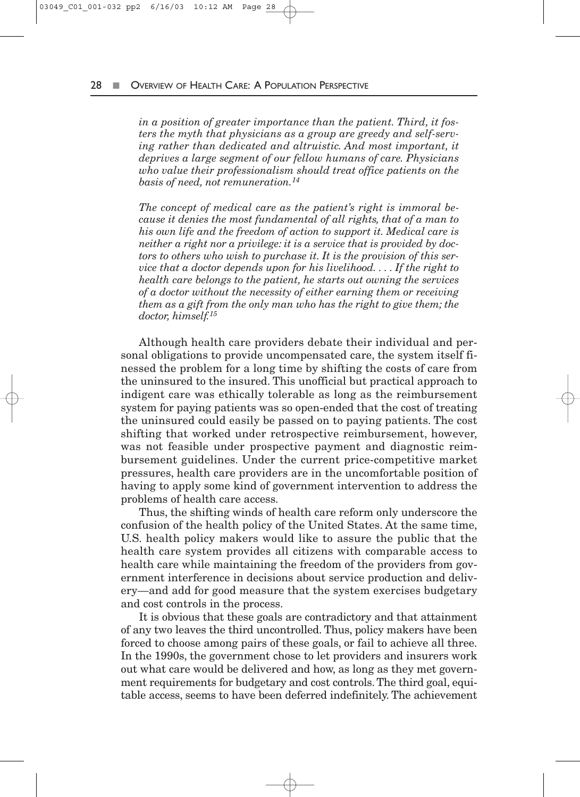#### 28 ■ OVERVIEW OF HEALTH CARE: A POPULATION PERSPECTIVE

*in a position of greater importance than the patient. Third, it fosters the myth that physicians as a group are greedy and self-serving rather than dedicated and altruistic. And most important, it deprives a large segment of our fellow humans of care. Physicians who value their professionalism should treat office patients on the basis of need, not remuneration.14*

*The concept of medical care as the patient's right is immoral because it denies the most fundamental of all rights, that of a man to his own life and the freedom of action to support it. Medical care is neither a right nor a privilege: it is a service that is provided by doctors to others who wish to purchase it. It is the provision of this service that a doctor depends upon for his livelihood. . . . If the right to health care belongs to the patient, he starts out owning the services of a doctor without the necessity of either earning them or receiving them as a gift from the only man who has the right to give them; the doctor, himself.15*

Although health care providers debate their individual and personal obligations to provide uncompensated care, the system itself finessed the problem for a long time by shifting the costs of care from the uninsured to the insured. This unofficial but practical approach to indigent care was ethically tolerable as long as the reimbursement system for paying patients was so open-ended that the cost of treating the uninsured could easily be passed on to paying patients. The cost shifting that worked under retrospective reimbursement, however, was not feasible under prospective payment and diagnostic reimbursement guidelines. Under the current price-competitive market pressures, health care providers are in the uncomfortable position of having to apply some kind of government intervention to address the problems of health care access.

Thus, the shifting winds of health care reform only underscore the confusion of the health policy of the United States. At the same time, U.S. health policy makers would like to assure the public that the health care system provides all citizens with comparable access to health care while maintaining the freedom of the providers from government interference in decisions about service production and delivery—and add for good measure that the system exercises budgetary and cost controls in the process.

It is obvious that these goals are contradictory and that attainment of any two leaves the third uncontrolled. Thus, policy makers have been forced to choose among pairs of these goals, or fail to achieve all three. In the 1990s, the government chose to let providers and insurers work out what care would be delivered and how, as long as they met government requirements for budgetary and cost controls. The third goal, equitable access, seems to have been deferred indefinitely. The achievement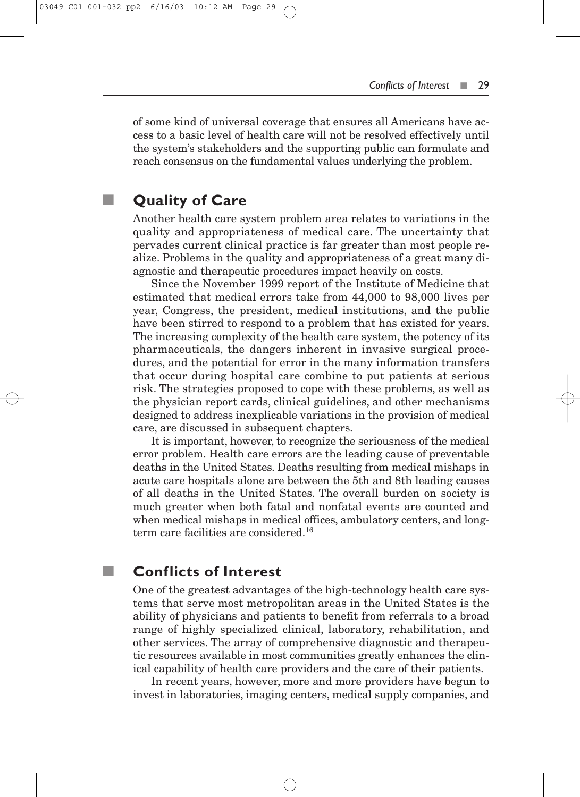of some kind of universal coverage that ensures all Americans have access to a basic level of health care will not be resolved effectively until the system's stakeholders and the supporting public can formulate and reach consensus on the fundamental values underlying the problem.

# ■ **Quality of Care**

Another health care system problem area relates to variations in the quality and appropriateness of medical care. The uncertainty that pervades current clinical practice is far greater than most people realize. Problems in the quality and appropriateness of a great many diagnostic and therapeutic procedures impact heavily on costs.

Since the November 1999 report of the Institute of Medicine that estimated that medical errors take from 44,000 to 98,000 lives per year, Congress, the president, medical institutions, and the public have been stirred to respond to a problem that has existed for years. The increasing complexity of the health care system, the potency of its pharmaceuticals, the dangers inherent in invasive surgical procedures, and the potential for error in the many information transfers that occur during hospital care combine to put patients at serious risk. The strategies proposed to cope with these problems, as well as the physician report cards, clinical guidelines, and other mechanisms designed to address inexplicable variations in the provision of medical care, are discussed in subsequent chapters.

It is important, however, to recognize the seriousness of the medical error problem. Health care errors are the leading cause of preventable deaths in the United States. Deaths resulting from medical mishaps in acute care hospitals alone are between the 5th and 8th leading causes of all deaths in the United States. The overall burden on society is much greater when both fatal and nonfatal events are counted and when medical mishaps in medical offices, ambulatory centers, and longterm care facilities are considered.16

# ■ **Conflicts of Interest**

One of the greatest advantages of the high-technology health care systems that serve most metropolitan areas in the United States is the ability of physicians and patients to benefit from referrals to a broad range of highly specialized clinical, laboratory, rehabilitation, and other services. The array of comprehensive diagnostic and therapeutic resources available in most communities greatly enhances the clinical capability of health care providers and the care of their patients.

In recent years, however, more and more providers have begun to invest in laboratories, imaging centers, medical supply companies, and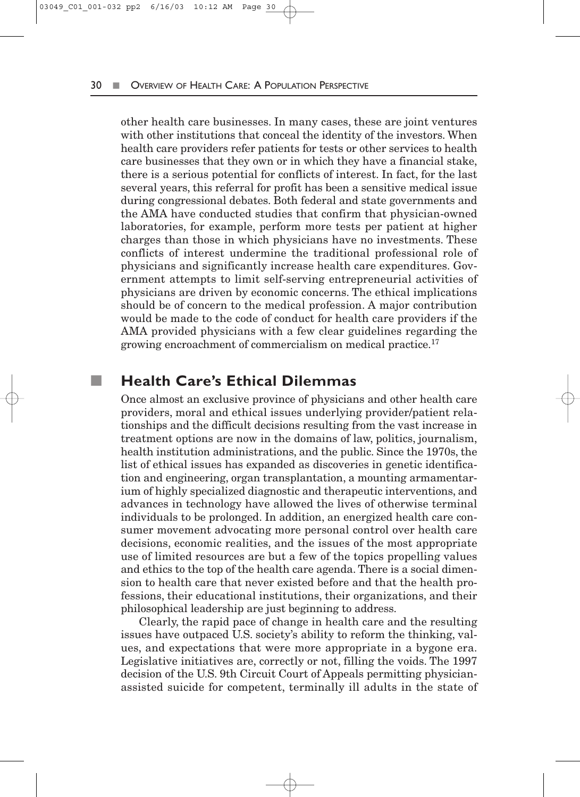#### 30 **B** OVERVIEW OF HEALTH CARE: A POPULATION PERSPECTIVE

other health care businesses. In many cases, these are joint ventures with other institutions that conceal the identity of the investors. When health care providers refer patients for tests or other services to health care businesses that they own or in which they have a financial stake, there is a serious potential for conflicts of interest. In fact, for the last several years, this referral for profit has been a sensitive medical issue during congressional debates. Both federal and state governments and the AMA have conducted studies that confirm that physician-owned laboratories, for example, perform more tests per patient at higher charges than those in which physicians have no investments. These conflicts of interest undermine the traditional professional role of physicians and significantly increase health care expenditures. Government attempts to limit self-serving entrepreneurial activities of physicians are driven by economic concerns. The ethical implications should be of concern to the medical profession. A major contribution would be made to the code of conduct for health care providers if the AMA provided physicians with a few clear guidelines regarding the growing encroachment of commercialism on medical practice.17

# ■ **Health Care's Ethical Dilemmas**

Once almost an exclusive province of physicians and other health care providers, moral and ethical issues underlying provider/patient relationships and the difficult decisions resulting from the vast increase in treatment options are now in the domains of law, politics, journalism, health institution administrations, and the public. Since the 1970s, the list of ethical issues has expanded as discoveries in genetic identification and engineering, organ transplantation, a mounting armamentarium of highly specialized diagnostic and therapeutic interventions, and advances in technology have allowed the lives of otherwise terminal individuals to be prolonged. In addition, an energized health care consumer movement advocating more personal control over health care decisions, economic realities, and the issues of the most appropriate use of limited resources are but a few of the topics propelling values and ethics to the top of the health care agenda. There is a social dimension to health care that never existed before and that the health professions, their educational institutions, their organizations, and their philosophical leadership are just beginning to address.

Clearly, the rapid pace of change in health care and the resulting issues have outpaced U.S. society's ability to reform the thinking, values, and expectations that were more appropriate in a bygone era. Legislative initiatives are, correctly or not, filling the voids. The 1997 decision of the U.S. 9th Circuit Court of Appeals permitting physicianassisted suicide for competent, terminally ill adults in the state of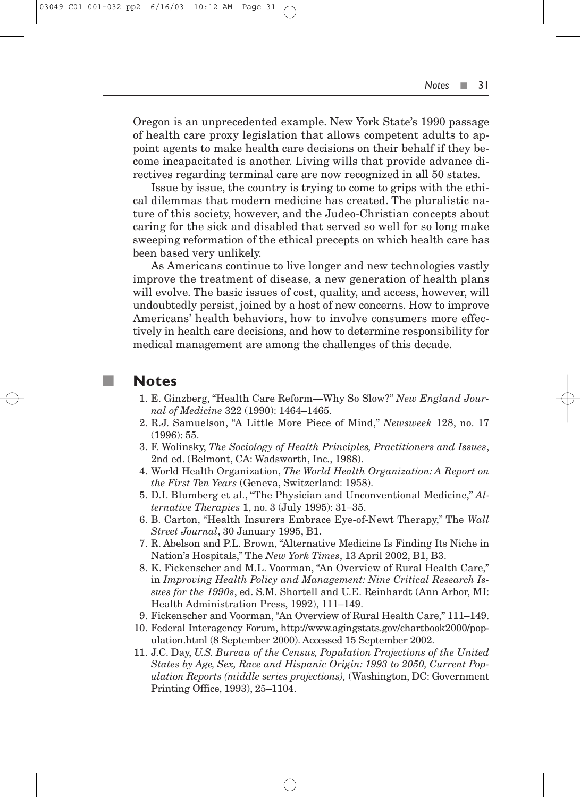Oregon is an unprecedented example. New York State's 1990 passage of health care proxy legislation that allows competent adults to appoint agents to make health care decisions on their behalf if they become incapacitated is another. Living wills that provide advance directives regarding terminal care are now recognized in all 50 states.

Issue by issue, the country is trying to come to grips with the ethical dilemmas that modern medicine has created. The pluralistic nature of this society, however, and the Judeo-Christian concepts about caring for the sick and disabled that served so well for so long make sweeping reformation of the ethical precepts on which health care has been based very unlikely.

As Americans continue to live longer and new technologies vastly improve the treatment of disease, a new generation of health plans will evolve. The basic issues of cost, quality, and access, however, will undoubtedly persist, joined by a host of new concerns. How to improve Americans' health behaviors, how to involve consumers more effectively in health care decisions, and how to determine responsibility for medical management are among the challenges of this decade.

#### ■ **Notes**

- 1. E. Ginzberg, "Health Care Reform—Why So Slow?" *New England Journal of Medicine* 322 (1990): 1464–1465.
- 2. R.J. Samuelson, "A Little More Piece of Mind," *Newsweek* 128, no. 17 (1996): 55.
- 3. F. Wolinsky, *The Sociology of Health Principles, Practitioners and Issues*, 2nd ed. (Belmont, CA: Wadsworth, Inc., 1988).
- 4. World Health Organization, *The World Health Organization: A Report on the First Ten Years* (Geneva, Switzerland: 1958).
- 5. D.I. Blumberg et al., "The Physician and Unconventional Medicine," *Alternative Therapies* 1, no. 3 (July 1995): 31–35.
- 6. B. Carton, "Health Insurers Embrace Eye-of-Newt Therapy," The *Wall Street Journal*, 30 January 1995, B1.
- 7. R. Abelson and P.L. Brown, "Alternative Medicine Is Finding Its Niche in Nation's Hospitals," The *New York Times*, 13 April 2002, B1, B3.
- 8. K. Fickenscher and M.L. Voorman, "An Overview of Rural Health Care," in *Improving Health Policy and Management: Nine Critical Research Issues for the 1990s*, ed. S.M. Shortell and U.E. Reinhardt (Ann Arbor, MI: Health Administration Press, 1992), 111–149.
- 9. Fickenscher and Voorman, "An Overview of Rural Health Care," 111–149.
- 10. Federal Interagency Forum, http://www.agingstats.gov/chartbook2000/population.html (8 September 2000). Accessed 15 September 2002.
- 11. J.C. Day, *U.S. Bureau of the Census, Population Projections of the United States by Age, Sex, Race and Hispanic Origin: 1993 to 2050, Current Population Reports (middle series projections),* (Washington, DC: Government Printing Office, 1993), 25–1104.